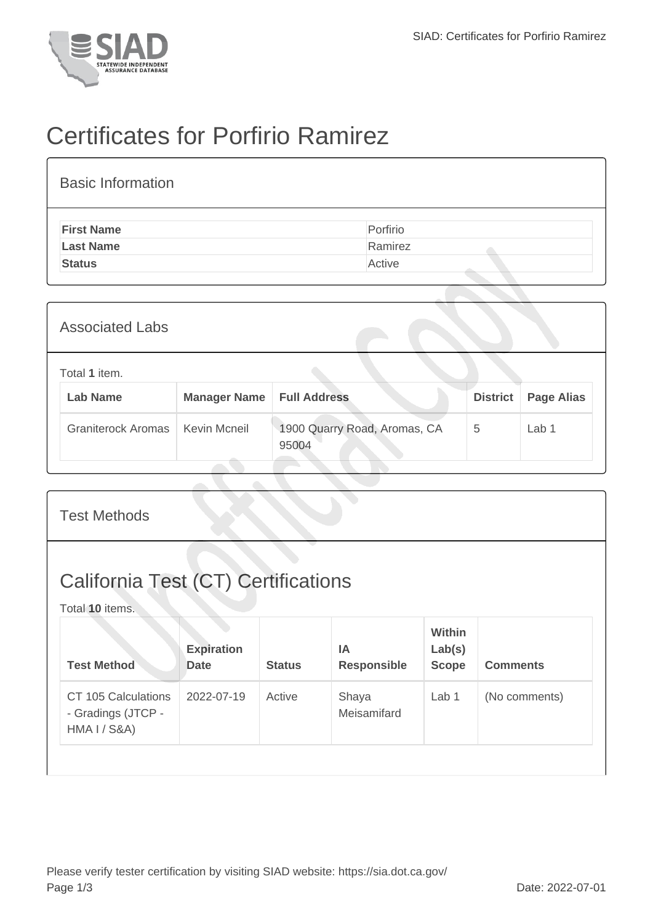

## Certificates for Porfirio Ramirez

| <b>Basic Information</b> |          |
|--------------------------|----------|
| <b>First Name</b>        | Porfirio |
| <b>Last Name</b>         | Ramirez  |
| <b>Status</b>            | Active   |

| <b>Associated Labs</b>           |                     |                                       |                 |                   |
|----------------------------------|---------------------|---------------------------------------|-----------------|-------------------|
| Total 1 item.<br><b>Lab Name</b> | <b>Manager Name</b> | <b>Full Address</b>                   | <b>District</b> | <b>Page Alias</b> |
| <b>Graniterock Aromas</b>        | Kevin Mcneil        | 1900 Quarry Road, Aromas, CA<br>95004 | 5               | Lab 1             |

| <b>Test Methods</b>                                           |                                  |               |                                 |                                         |                 |  |
|---------------------------------------------------------------|----------------------------------|---------------|---------------------------------|-----------------------------------------|-----------------|--|
| <b>California Test (CT) Certifications</b><br>Total 10 items. |                                  |               |                                 |                                         |                 |  |
| <b>Test Method</b>                                            | <b>Expiration</b><br><b>Date</b> | <b>Status</b> | <b>IA</b><br><b>Responsible</b> | <b>Within</b><br>Lab(s)<br><b>Scope</b> | <b>Comments</b> |  |
| CT 105 Calculations<br>- Gradings (JTCP -<br>HMA I / S&A)     | 2022-07-19                       | Active        | Shaya<br>Meisamifard            | Lab 1                                   | (No comments)   |  |
|                                                               |                                  |               |                                 |                                         |                 |  |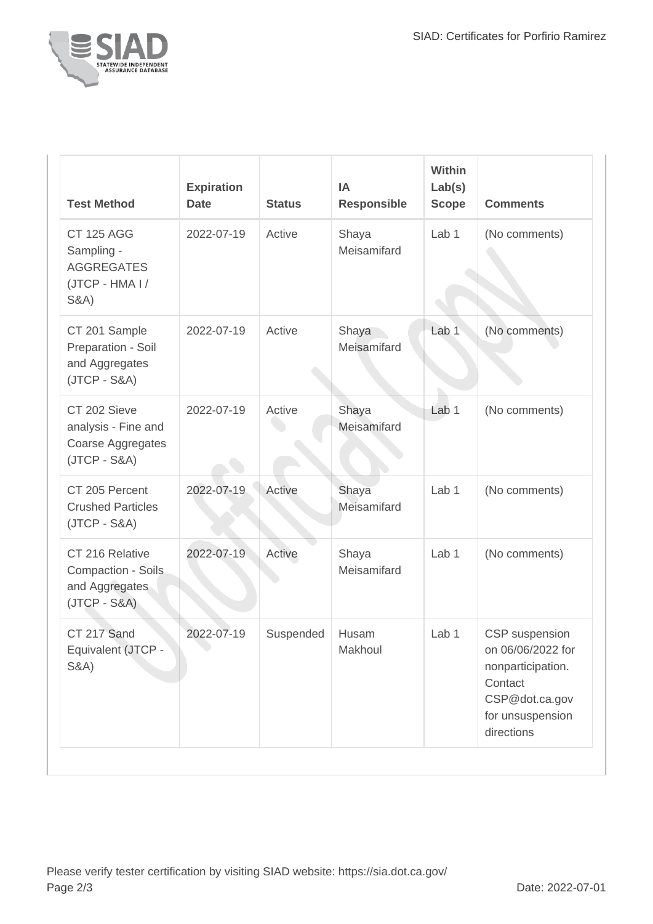

| <b>Test Method</b>                                                                         | <b>Expiration</b><br><b>Date</b> | <b>Status</b> | IA<br><b>Responsible</b> | Within<br>Lab(s)<br><b>Scope</b> | <b>Comments</b>                                                                                                         |
|--------------------------------------------------------------------------------------------|----------------------------------|---------------|--------------------------|----------------------------------|-------------------------------------------------------------------------------------------------------------------------|
| <b>CT 125 AGG</b><br>Sampling -<br><b>AGGREGATES</b><br>(JTCP - HMA I /<br><b>S&amp;A)</b> | 2022-07-19                       | Active        | Shaya<br>Meisamifard     | Lab 1                            | (No comments)                                                                                                           |
| CT 201 Sample<br>Preparation - Soil<br>and Aggregates<br>$(JTCP - S&A)$                    | 2022-07-19                       | Active        | Shaya<br>Meisamifard     | Lab <sub>1</sub>                 | (No comments)                                                                                                           |
| CT 202 Sieve<br>analysis - Fine and<br>Coarse Aggregates<br>$(JTCP - S&A)$                 | 2022-07-19                       | Active        | Shaya<br>Meisamifard     | Lab <sub>1</sub>                 | (No comments)                                                                                                           |
| CT 205 Percent<br><b>Crushed Particles</b><br>$(JTCP - S&A)$                               | 2022-07-19                       | Active        | Shaya<br>Meisamifard     | Lab 1                            | (No comments)                                                                                                           |
| CT 216 Relative<br>Compaction - Soils<br>and Aggregates<br>$(JTCP - S&A)$                  | 2022-07-19                       | Active        | Shaya<br>Meisamifard     | Lab <sub>1</sub>                 | (No comments)                                                                                                           |
| CT 217 Sand<br>Equivalent (JTCP -<br><b>S&amp;A)</b>                                       | 2022-07-19                       | Suspended     | Husam<br>Makhoul         | Lab 1                            | CSP suspension<br>on 06/06/2022 for<br>nonparticipation.<br>Contact<br>CSP@dot.ca.gov<br>for unsuspension<br>directions |